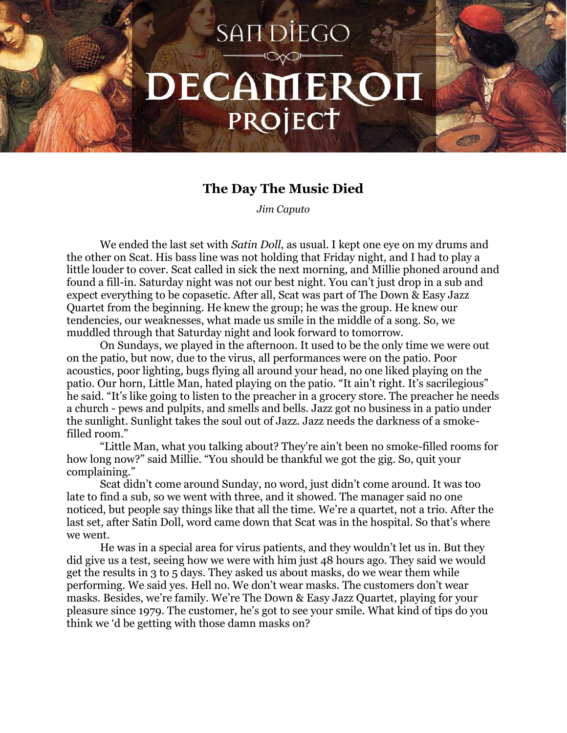## **SANDIEGO** DECAMEROI PROJECT

## **The Day The Music Died**

*Jim Caputo*

We ended the last set with *Satin Doll*, as usual. I kept one eye on my drums and the other on Scat. His bass line was not holding that Friday night, and I had to play a little louder to cover. Scat called in sick the next morning, and Millie phoned around and found a fill-in. Saturday night was not our best night. You can't just drop in a sub and expect everything to be copasetic. After all, Scat was part of The Down & Easy Jazz Quartet from the beginning. He knew the group; he was the group. He knew our tendencies, our weaknesses, what made us smile in the middle of a song. So, we muddled through that Saturday night and look forward to tomorrow.

On Sundays, we played in the afternoon. It used to be the only time we were out on the patio, but now, due to the virus, all performances were on the patio. Poor acoustics, poor lighting, bugs flying all around your head, no one liked playing on the patio. Our horn, Little Man, hated playing on the patio. "It ain't right. It's sacrilegious" he said. "It's like going to listen to the preacher in a grocery store. The preacher he needs a church - pews and pulpits, and smells and bells. Jazz got no business in a patio under the sunlight. Sunlight takes the soul out of Jazz. Jazz needs the darkness of a smokefilled room."

"Little Man, what you talking about? They're ain't been no smoke-filled rooms for how long now?" said Millie. "You should be thankful we got the gig. So, quit your complaining."

Scat didn't come around Sunday, no word, just didn't come around. It was too late to find a sub, so we went with three, and it showed. The manager said no one noticed, but people say things like that all the time. We're a quartet, not a trio. After the last set, after Satin Doll, word came down that Scat was in the hospital. So that's where we went.

He was in a special area for virus patients, and they wouldn't let us in. But they did give us a test, seeing how we were with him just 48 hours ago. They said we would get the results in 3 to 5 days. They asked us about masks, do we wear them while performing. We said yes. Hell no. We don't wear masks. The customers don't wear masks. Besides, we're family. We're The Down & Easy Jazz Quartet, playing for your pleasure since 1979. The customer, he's got to see your smile. What kind of tips do you think we 'd be getting with those damn masks on?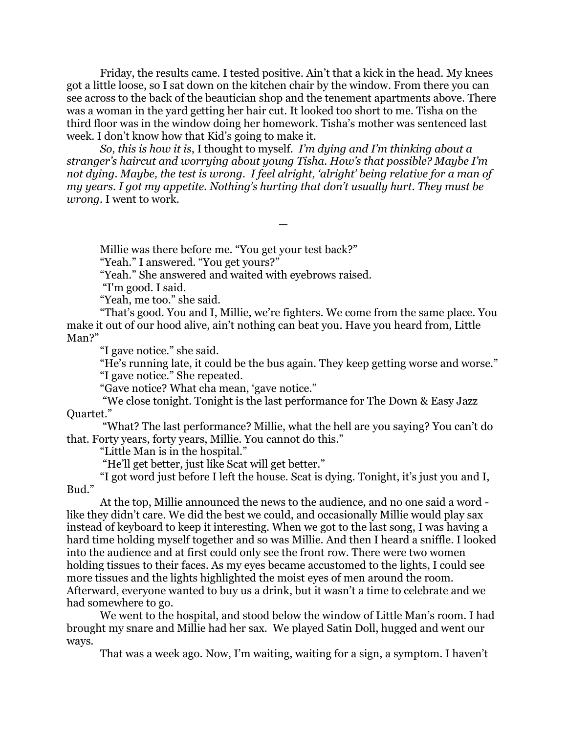Friday, the results came. I tested positive. Ain't that a kick in the head. My knees got a little loose, so I sat down on the kitchen chair by the window. From there you can see across to the back of the beautician shop and the tenement apartments above. There was a woman in the yard getting her hair cut. It looked too short to me. Tisha on the third floor was in the window doing her homework. Tisha's mother was sentenced last week. I don't know how that Kid's going to make it.

*So, this is how it is*, I thought to myself. *I'm dying and I'm thinking about a stranger's haircut and worrying about young Tisha. How's that possible? Maybe I'm not dying. Maybe, the test is wrong. I feel alright, 'alright' being relative for a man of my years. I got my appetite. Nothing's hurting that don't usually hurt. They must be wrong.* I went to work.

—

Millie was there before me. "You get your test back?"

"Yeah." I answered. "You get yours?"

"Yeah." She answered and waited with eyebrows raised.

"I'm good. I said.

"Yeah, me too." she said.

"That's good. You and I, Millie, we're fighters. We come from the same place. You make it out of our hood alive, ain't nothing can beat you. Have you heard from, Little Man?"

"I gave notice." she said.

"He's running late, it could be the bus again. They keep getting worse and worse." "I gave notice." She repeated.

"Gave notice? What cha mean, 'gave notice."

"We close tonight. Tonight is the last performance for The Down & Easy Jazz Quartet."

"What? The last performance? Millie, what the hell are you saying? You can't do that. Forty years, forty years, Millie. You cannot do this."

"Little Man is in the hospital."

"He'll get better, just like Scat will get better."

"I got word just before I left the house. Scat is dying. Tonight, it's just you and I, Bud."

At the top, Millie announced the news to the audience, and no one said a word like they didn't care. We did the best we could, and occasionally Millie would play sax instead of keyboard to keep it interesting. When we got to the last song, I was having a hard time holding myself together and so was Millie. And then I heard a sniffle. I looked into the audience and at first could only see the front row. There were two women holding tissues to their faces. As my eyes became accustomed to the lights, I could see more tissues and the lights highlighted the moist eyes of men around the room. Afterward, everyone wanted to buy us a drink, but it wasn't a time to celebrate and we had somewhere to go.

We went to the hospital, and stood below the window of Little Man's room. I had brought my snare and Millie had her sax. We played Satin Doll, hugged and went our ways.

That was a week ago. Now, I'm waiting, waiting for a sign, a symptom. I haven't